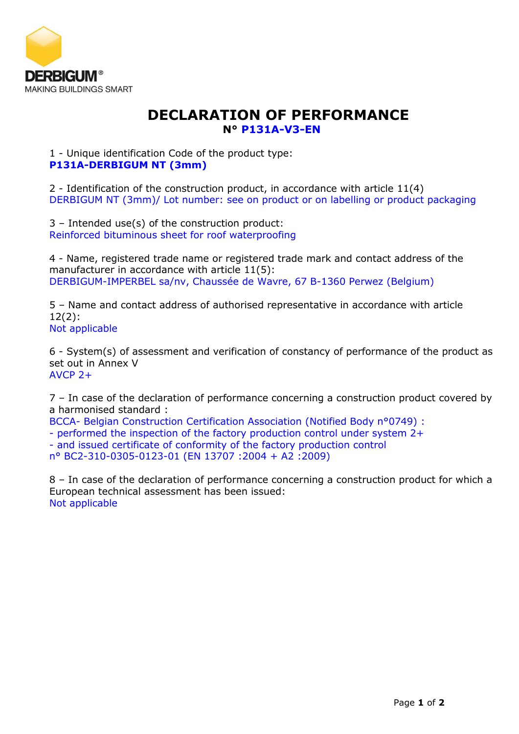

## **DECLARATION OF PERFORMANCE N° P131A-V3-EN**

1 - Unique identification Code of the product type: **P131A-DERBIGUM NT (3mm)**

2 - Identification of the construction product, in accordance with article 11(4) DERBIGUM NT (3mm)/ Lot number: see on product or on labelling or product packaging

3 – Intended use(s) of the construction product: Reinforced bituminous sheet for roof waterproofing

4 - Name, registered trade name or registered trade mark and contact address of the manufacturer in accordance with article 11(5): DERBIGUM-IMPERBEL sa/nv, Chaussée de Wavre, 67 B-1360 Perwez (Belgium)

5 – Name and contact address of authorised representative in accordance with article 12(2): Not applicable

6 - System(s) of assessment and verification of constancy of performance of the product as set out in Annex V AVCP 2+

7 – In case of the declaration of performance concerning a construction product covered by a harmonised standard :

BCCA- Belgian Construction Certification Association (Notified Body n°0749) :

- performed the inspection of the factory production control under system 2+

- and issued certificate of conformity of the factory production control

n° BC2-310-0305-0123-01 (EN 13707 :2004 + A2 :2009)

8 – In case of the declaration of performance concerning a construction product for which a European technical assessment has been issued: Not applicable